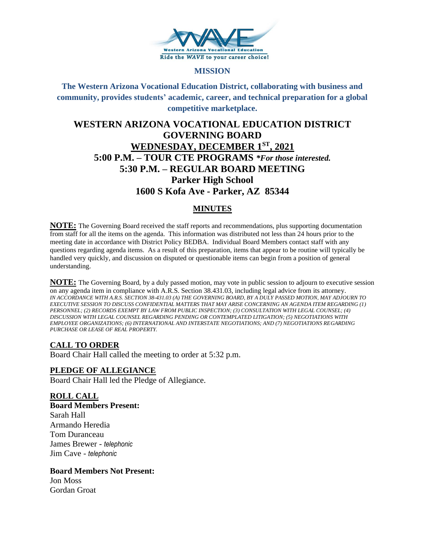

#### **MISSION**

**The Western Arizona Vocational Education District, collaborating with business and community, provides students' academic, career, and technical preparation for a global competitive marketplace.**

# **WESTERN ARIZONA VOCATIONAL EDUCATION DISTRICT GOVERNING BOARD WEDNESDAY, DECEMBER 1ST, 2021 5:00 P.M. – TOUR CTE PROGRAMS** *\*For those interested.*  **5:30 P.M. – REGULAR BOARD MEETING Parker High School 1600 S Kofa Ave - Parker, AZ 85344**

# **MINUTES**

**NOTE:** The Governing Board received the staff reports and recommendations, plus supporting documentation from staff for all the items on the agenda. This information was distributed not less than 24 hours prior to the meeting date in accordance with District Policy BEDBA. Individual Board Members contact staff with any questions regarding agenda items. As a result of this preparation, items that appear to be routine will typically be handled very quickly, and discussion on disputed or questionable items can begin from a position of general understanding.

**NOTE:** The Governing Board, by a duly passed motion, may vote in public session to adjourn to executive session on any agenda item in compliance with A.R.S. Section 38.431.03, including legal advice from its attorney. *IN ACCORDANCE WITH A.R.S. SECTION 38-431.03 (A) THE GOVERNING BOARD, BY A DULY PASSED MOTION, MAY ADJOURN TO EXECUTIVE SESSION TO DISCUSS CONFIDENTIAL MATTERS THAT MAY ARISE CONCERNING AN AGENDA ITEM REGARDING (1) PERSONNEL; (2) RECORDS EXEMPT BY LAW FROM PUBLIC INSPECTION; (3) CONSULTATION WITH LEGAL COUNSEL; (4) DISCUSSION WITH LEGAL COUNSEL REGARDING PENDING OR CONTEMPLATED LITIGATION; (5) NEGOTIATIONS WITH EMPLOYEE ORGANIZATIONS; (6) INTERNATIONAL AND INTERSTATE NEGOTIATIONS; AND (7) NEGOTIATIONS REGARDING PURCHASE OR LEASE OF REAL PROPERTY.*

### **CALL TO ORDER**

Board Chair Hall called the meeting to order at 5:32 p.m.

#### **PLEDGE OF ALLEGIANCE**

Board Chair Hall led the Pledge of Allegiance.

**ROLL CALL Board Members Present:** Sarah Hall Armando Heredia Tom Duranceau James Brewer - *telephonic* Jim Cave - *telephonic*

**Board Members Not Present:**  Jon Moss

Gordan Groat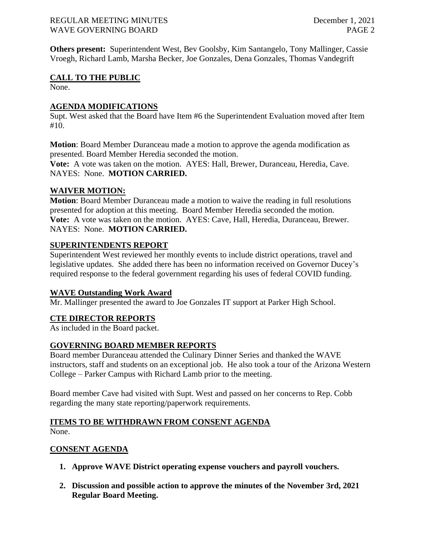#### REGULAR MEETING MINUTES December 1, 2021 WAVE GOVERNING BOARD **PAGE 2**

**Others present:** Superintendent West, Bev Goolsby, Kim Santangelo, Tony Mallinger, Cassie Vroegh, Richard Lamb, Marsha Becker, Joe Gonzales, Dena Gonzales, Thomas Vandegrift

## **CALL TO THE PUBLIC**

None.

### **AGENDA MODIFICATIONS**

Supt. West asked that the Board have Item #6 the Superintendent Evaluation moved after Item #10.

**Motion**: Board Member Duranceau made a motion to approve the agenda modification as presented. Board Member Heredia seconded the motion.

**Vote:** A vote was taken on the motion. AYES: Hall, Brewer, Duranceau, Heredia, Cave. NAYES: None. **MOTION CARRIED.**

# **WAIVER MOTION:**

**Motion**: Board Member Duranceau made a motion to waive the reading in full resolutions presented for adoption at this meeting. Board Member Heredia seconded the motion. **Vote:** A vote was taken on the motion. AYES: Cave, Hall, Heredia, Duranceau, Brewer. NAYES: None. **MOTION CARRIED.**

### **SUPERINTENDENTS REPORT**

Superintendent West reviewed her monthly events to include district operations, travel and legislative updates. She added there has been no information received on Governor Ducey's required response to the federal government regarding his uses of federal COVID funding.

### **WAVE Outstanding Work Award**

Mr. Mallinger presented the award to Joe Gonzales IT support at Parker High School.

### **CTE DIRECTOR REPORTS**

As included in the Board packet.

# **GOVERNING BOARD MEMBER REPORTS**

Board member Duranceau attended the Culinary Dinner Series and thanked the WAVE instructors, staff and students on an exceptional job. He also took a tour of the Arizona Western College – Parker Campus with Richard Lamb prior to the meeting.

Board member Cave had visited with Supt. West and passed on her concerns to Rep. Cobb regarding the many state reporting/paperwork requirements.

### **ITEMS TO BE WITHDRAWN FROM CONSENT AGENDA** None.

### **CONSENT AGENDA**

- **1. Approve WAVE District operating expense vouchers and payroll vouchers.**
- **2. Discussion and possible action to approve the minutes of the November 3rd, 2021 Regular Board Meeting.**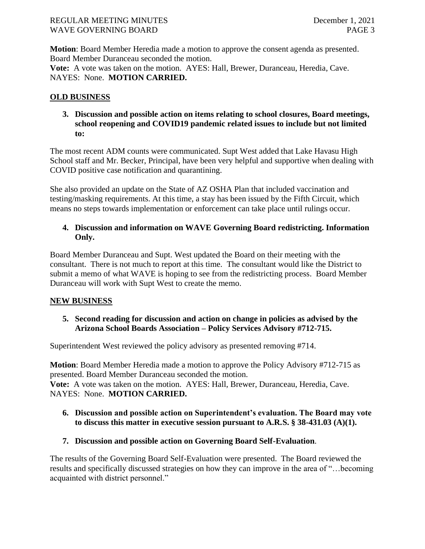#### REGULAR MEETING MINUTES December 1, 2021 WAVE GOVERNING BOARD **PAGE 3**

**Motion**: Board Member Heredia made a motion to approve the consent agenda as presented. Board Member Duranceau seconded the motion.

**Vote:** A vote was taken on the motion. AYES: Hall, Brewer, Duranceau, Heredia, Cave. NAYES: None. **MOTION CARRIED.**

## **OLD BUSINESS**

**3. Discussion and possible action on items relating to school closures, Board meetings, school reopening and COVID19 pandemic related issues to include but not limited to:**

The most recent ADM counts were communicated. Supt West added that Lake Havasu High School staff and Mr. Becker, Principal, have been very helpful and supportive when dealing with COVID positive case notification and quarantining.

She also provided an update on the State of AZ OSHA Plan that included vaccination and testing/masking requirements. At this time, a stay has been issued by the Fifth Circuit, which means no steps towards implementation or enforcement can take place until rulings occur.

### **4. Discussion and information on WAVE Governing Board redistricting. Information Only.**

Board Member Duranceau and Supt. West updated the Board on their meeting with the consultant. There is not much to report at this time. The consultant would like the District to submit a memo of what WAVE is hoping to see from the redistricting process. Board Member Duranceau will work with Supt West to create the memo.

### **NEW BUSINESS**

### **5. Second reading for discussion and action on change in policies as advised by the Arizona School Boards Association – Policy Services Advisory #712-715.**

Superintendent West reviewed the policy advisory as presented removing #714.

**Motion**: Board Member Heredia made a motion to approve the Policy Advisory #712-715 as presented. Board Member Duranceau seconded the motion. **Vote:** A vote was taken on the motion. AYES: Hall, Brewer, Duranceau, Heredia, Cave. NAYES: None. **MOTION CARRIED.**

### **6. Discussion and possible action on Superintendent's evaluation. The Board may vote to discuss this matter in executive session pursuant to A.R.S. § 38-431.03 (A)(1).**

# **7. Discussion and possible action on Governing Board Self-Evaluation**.

The results of the Governing Board Self-Evaluation were presented. The Board reviewed the results and specifically discussed strategies on how they can improve in the area of "…becoming acquainted with district personnel."